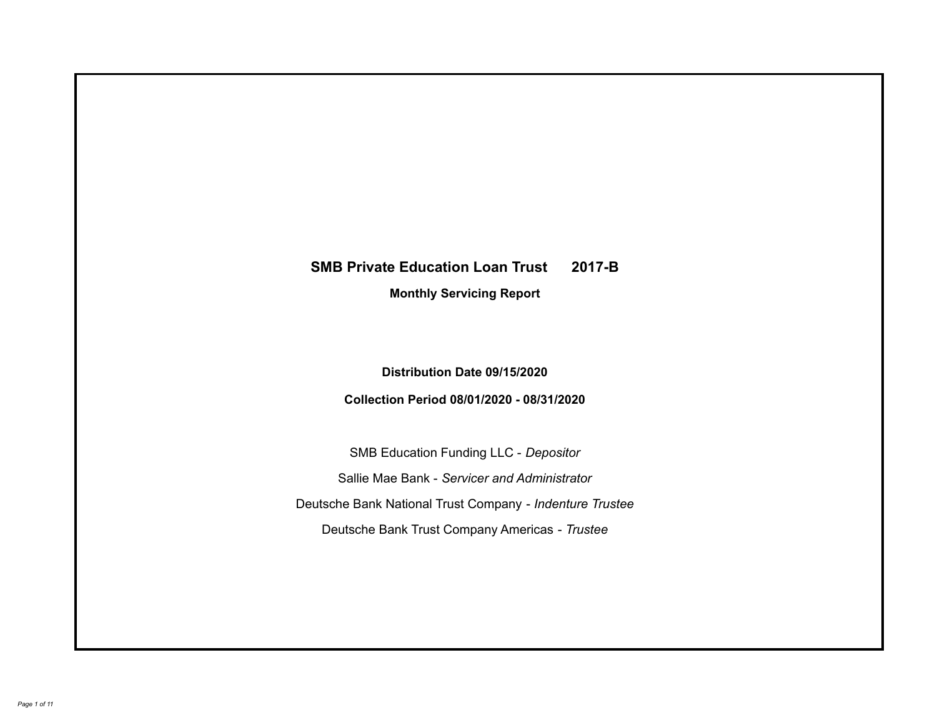# **SMB Private Education Loan Trust 2017-B Monthly Servicing Report**

**Distribution Date 09/15/2020**

**Collection Period 08/01/2020 - 08/31/2020**

SMB Education Funding LLC - *Depositor* Sallie Mae Bank - *Servicer and Administrator* Deutsche Bank National Trust Company - *Indenture Trustee* Deutsche Bank Trust Company Americas - *Trustee*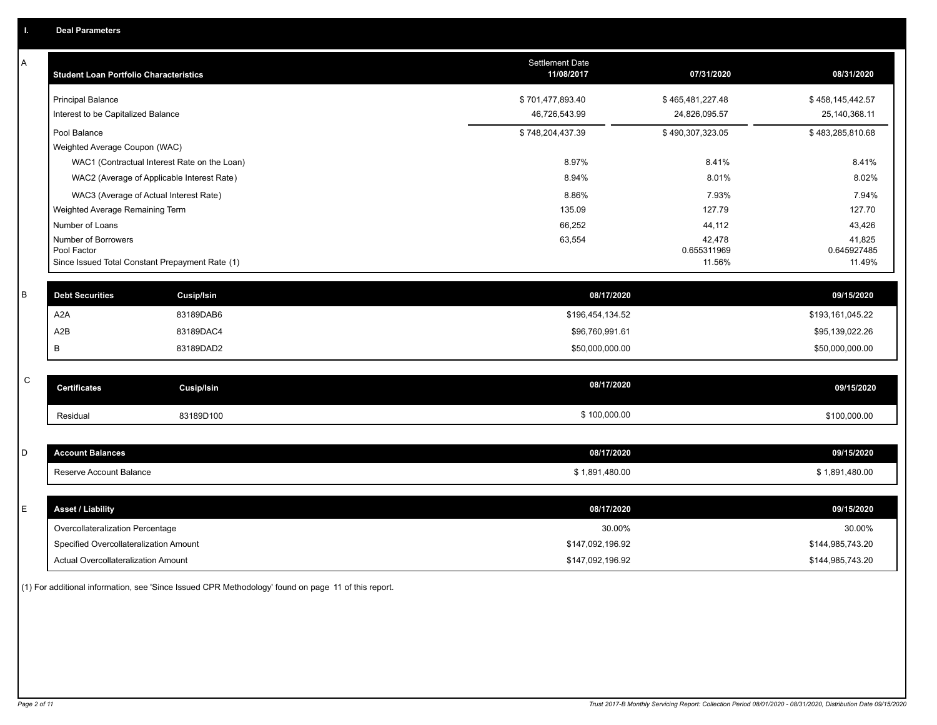| А           | <b>Student Loan Portfolio Characteristics</b>                  |                                              | <b>Settlement Date</b><br>11/08/2017 | 07/31/2020            | 08/31/2020            |
|-------------|----------------------------------------------------------------|----------------------------------------------|--------------------------------------|-----------------------|-----------------------|
|             | <b>Principal Balance</b>                                       |                                              | \$701,477,893.40                     | \$465,481,227.48      | \$458,145,442.57      |
|             | Interest to be Capitalized Balance                             |                                              | 46,726,543.99                        | 24,826,095.57         | 25,140,368.11         |
|             | Pool Balance                                                   |                                              | \$748,204,437.39                     | \$490,307,323.05      | \$483,285,810.68      |
|             | Weighted Average Coupon (WAC)                                  |                                              |                                      |                       |                       |
|             |                                                                | WAC1 (Contractual Interest Rate on the Loan) | 8.97%                                | 8.41%                 | 8.41%                 |
|             |                                                                | WAC2 (Average of Applicable Interest Rate)   | 8.94%                                | 8.01%                 | 8.02%                 |
|             | WAC3 (Average of Actual Interest Rate)                         |                                              | 8.86%                                | 7.93%                 | 7.94%                 |
|             | Weighted Average Remaining Term                                |                                              | 135.09                               | 127.79                | 127.70                |
|             | Number of Loans                                                |                                              | 66,252                               | 44,112                | 43,426                |
|             | Number of Borrowers                                            |                                              | 63,554                               | 42,478                | 41,825                |
|             | Pool Factor<br>Since Issued Total Constant Prepayment Rate (1) |                                              |                                      | 0.655311969<br>11.56% | 0.645927485<br>11.49% |
|             |                                                                |                                              |                                      |                       |                       |
| B           | <b>Debt Securities</b>                                         | <b>Cusip/Isin</b>                            | 08/17/2020                           |                       | 09/15/2020            |
|             | A <sub>2</sub> A                                               | 83189DAB6                                    | \$196,454,134.52                     |                       | \$193,161,045.22      |
|             | A <sub>2</sub> B                                               | 83189DAC4                                    | \$96,760,991.61                      |                       | \$95,139,022.26       |
|             | B                                                              | 83189DAD2                                    | \$50,000,000.00                      |                       | \$50,000,000.00       |
|             |                                                                |                                              |                                      |                       |                       |
| $\mathsf C$ | <b>Certificates</b>                                            | <b>Cusip/Isin</b>                            | 08/17/2020                           |                       | 09/15/2020            |
|             | Residual                                                       | 83189D100                                    | \$100,000.00                         |                       | \$100,000.00          |
|             |                                                                |                                              |                                      |                       |                       |
| D           | <b>Account Balances</b>                                        |                                              | 08/17/2020                           |                       | 09/15/2020            |
|             | Reserve Account Balance                                        |                                              | \$1,891,480.00                       |                       | \$1,891,480.00        |
|             |                                                                |                                              |                                      |                       |                       |
| Е           | <b>Asset / Liability</b>                                       |                                              | 08/17/2020                           |                       | 09/15/2020            |
|             | Overcollateralization Percentage                               |                                              | 30.00%                               |                       | 30.00%                |
|             | Specified Overcollateralization Amount                         |                                              | \$147,092,196.92                     |                       | \$144,985,743.20      |
|             | Actual Overcollateralization Amount                            |                                              | \$147,092,196.92                     |                       | \$144,985,743.20      |

(1) For additional information, see 'Since Issued CPR Methodology' found on page 11 of this report.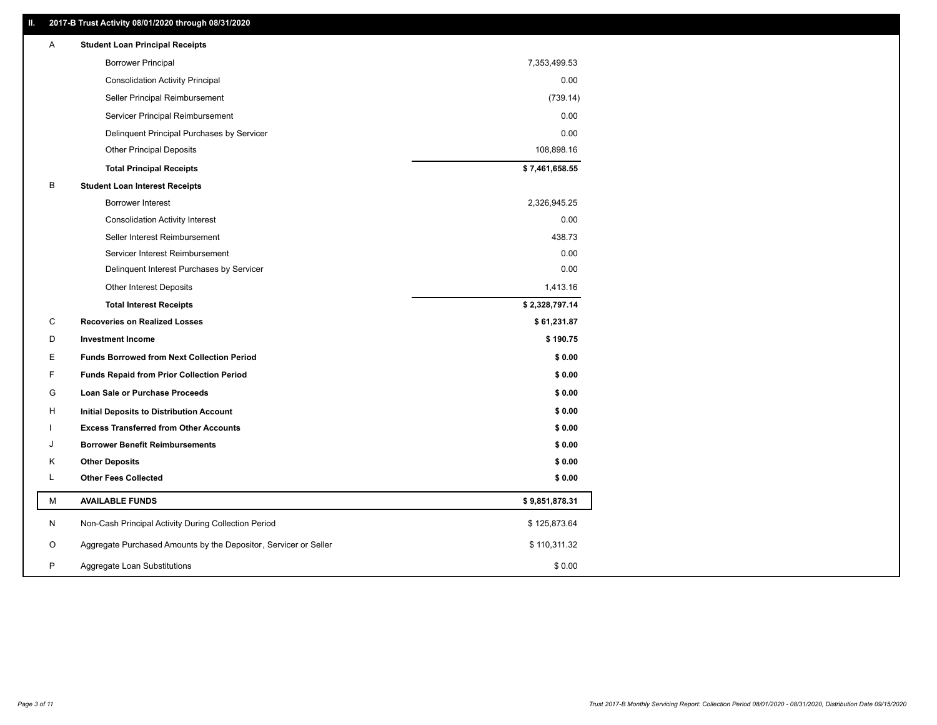# **II. 2017-B Trust Activity 08/01/2020 through 08/31/2020**

| <b>Borrower Principal</b><br>7,353,499.53<br>0.00<br><b>Consolidation Activity Principal</b><br>(739.14)<br>Seller Principal Reimbursement<br>0.00<br>Servicer Principal Reimbursement<br>0.00<br>Delinquent Principal Purchases by Servicer<br><b>Other Principal Deposits</b><br>108,898.16<br>\$7,461,658.55<br><b>Total Principal Receipts</b><br>В<br><b>Student Loan Interest Receipts</b><br>Borrower Interest<br>2,326,945.25<br>0.00<br><b>Consolidation Activity Interest</b><br>438.73<br>Seller Interest Reimbursement<br>0.00<br>Servicer Interest Reimbursement<br>0.00<br>Delinquent Interest Purchases by Servicer<br>1,413.16<br><b>Other Interest Deposits</b><br>\$2,328,797.14<br><b>Total Interest Receipts</b><br>С<br><b>Recoveries on Realized Losses</b><br>\$61,231.87<br>\$190.75<br>D<br><b>Investment Income</b><br>Е<br>\$0.00<br><b>Funds Borrowed from Next Collection Period</b><br>F<br>\$0.00<br><b>Funds Repaid from Prior Collection Period</b><br>G<br>\$0.00<br><b>Loan Sale or Purchase Proceeds</b><br>\$0.00<br>н<br>Initial Deposits to Distribution Account<br>\$0.00<br><b>Excess Transferred from Other Accounts</b><br><b>Borrower Benefit Reimbursements</b><br>\$0.00<br>J<br>\$0.00<br>Κ<br><b>Other Deposits</b><br>Г<br><b>Other Fees Collected</b><br>\$0.00<br>М<br><b>AVAILABLE FUNDS</b><br>\$9,851,878.31<br>N<br>Non-Cash Principal Activity During Collection Period<br>\$125,873.64<br>Aggregate Purchased Amounts by the Depositor, Servicer or Seller<br>O<br>\$110,311.32 | Α | <b>Student Loan Principal Receipts</b> |        |  |
|------------------------------------------------------------------------------------------------------------------------------------------------------------------------------------------------------------------------------------------------------------------------------------------------------------------------------------------------------------------------------------------------------------------------------------------------------------------------------------------------------------------------------------------------------------------------------------------------------------------------------------------------------------------------------------------------------------------------------------------------------------------------------------------------------------------------------------------------------------------------------------------------------------------------------------------------------------------------------------------------------------------------------------------------------------------------------------------------------------------------------------------------------------------------------------------------------------------------------------------------------------------------------------------------------------------------------------------------------------------------------------------------------------------------------------------------------------------------------------------------------------------------------------------|---|----------------------------------------|--------|--|
|                                                                                                                                                                                                                                                                                                                                                                                                                                                                                                                                                                                                                                                                                                                                                                                                                                                                                                                                                                                                                                                                                                                                                                                                                                                                                                                                                                                                                                                                                                                                          |   |                                        |        |  |
|                                                                                                                                                                                                                                                                                                                                                                                                                                                                                                                                                                                                                                                                                                                                                                                                                                                                                                                                                                                                                                                                                                                                                                                                                                                                                                                                                                                                                                                                                                                                          |   |                                        |        |  |
|                                                                                                                                                                                                                                                                                                                                                                                                                                                                                                                                                                                                                                                                                                                                                                                                                                                                                                                                                                                                                                                                                                                                                                                                                                                                                                                                                                                                                                                                                                                                          |   |                                        |        |  |
|                                                                                                                                                                                                                                                                                                                                                                                                                                                                                                                                                                                                                                                                                                                                                                                                                                                                                                                                                                                                                                                                                                                                                                                                                                                                                                                                                                                                                                                                                                                                          |   |                                        |        |  |
|                                                                                                                                                                                                                                                                                                                                                                                                                                                                                                                                                                                                                                                                                                                                                                                                                                                                                                                                                                                                                                                                                                                                                                                                                                                                                                                                                                                                                                                                                                                                          |   |                                        |        |  |
|                                                                                                                                                                                                                                                                                                                                                                                                                                                                                                                                                                                                                                                                                                                                                                                                                                                                                                                                                                                                                                                                                                                                                                                                                                                                                                                                                                                                                                                                                                                                          |   |                                        |        |  |
|                                                                                                                                                                                                                                                                                                                                                                                                                                                                                                                                                                                                                                                                                                                                                                                                                                                                                                                                                                                                                                                                                                                                                                                                                                                                                                                                                                                                                                                                                                                                          |   |                                        |        |  |
|                                                                                                                                                                                                                                                                                                                                                                                                                                                                                                                                                                                                                                                                                                                                                                                                                                                                                                                                                                                                                                                                                                                                                                                                                                                                                                                                                                                                                                                                                                                                          |   |                                        |        |  |
|                                                                                                                                                                                                                                                                                                                                                                                                                                                                                                                                                                                                                                                                                                                                                                                                                                                                                                                                                                                                                                                                                                                                                                                                                                                                                                                                                                                                                                                                                                                                          |   |                                        |        |  |
|                                                                                                                                                                                                                                                                                                                                                                                                                                                                                                                                                                                                                                                                                                                                                                                                                                                                                                                                                                                                                                                                                                                                                                                                                                                                                                                                                                                                                                                                                                                                          |   |                                        |        |  |
|                                                                                                                                                                                                                                                                                                                                                                                                                                                                                                                                                                                                                                                                                                                                                                                                                                                                                                                                                                                                                                                                                                                                                                                                                                                                                                                                                                                                                                                                                                                                          |   |                                        |        |  |
|                                                                                                                                                                                                                                                                                                                                                                                                                                                                                                                                                                                                                                                                                                                                                                                                                                                                                                                                                                                                                                                                                                                                                                                                                                                                                                                                                                                                                                                                                                                                          |   |                                        |        |  |
|                                                                                                                                                                                                                                                                                                                                                                                                                                                                                                                                                                                                                                                                                                                                                                                                                                                                                                                                                                                                                                                                                                                                                                                                                                                                                                                                                                                                                                                                                                                                          |   |                                        |        |  |
|                                                                                                                                                                                                                                                                                                                                                                                                                                                                                                                                                                                                                                                                                                                                                                                                                                                                                                                                                                                                                                                                                                                                                                                                                                                                                                                                                                                                                                                                                                                                          |   |                                        |        |  |
|                                                                                                                                                                                                                                                                                                                                                                                                                                                                                                                                                                                                                                                                                                                                                                                                                                                                                                                                                                                                                                                                                                                                                                                                                                                                                                                                                                                                                                                                                                                                          |   |                                        |        |  |
|                                                                                                                                                                                                                                                                                                                                                                                                                                                                                                                                                                                                                                                                                                                                                                                                                                                                                                                                                                                                                                                                                                                                                                                                                                                                                                                                                                                                                                                                                                                                          |   |                                        |        |  |
|                                                                                                                                                                                                                                                                                                                                                                                                                                                                                                                                                                                                                                                                                                                                                                                                                                                                                                                                                                                                                                                                                                                                                                                                                                                                                                                                                                                                                                                                                                                                          |   |                                        |        |  |
|                                                                                                                                                                                                                                                                                                                                                                                                                                                                                                                                                                                                                                                                                                                                                                                                                                                                                                                                                                                                                                                                                                                                                                                                                                                                                                                                                                                                                                                                                                                                          |   |                                        |        |  |
|                                                                                                                                                                                                                                                                                                                                                                                                                                                                                                                                                                                                                                                                                                                                                                                                                                                                                                                                                                                                                                                                                                                                                                                                                                                                                                                                                                                                                                                                                                                                          |   |                                        |        |  |
|                                                                                                                                                                                                                                                                                                                                                                                                                                                                                                                                                                                                                                                                                                                                                                                                                                                                                                                                                                                                                                                                                                                                                                                                                                                                                                                                                                                                                                                                                                                                          |   |                                        |        |  |
|                                                                                                                                                                                                                                                                                                                                                                                                                                                                                                                                                                                                                                                                                                                                                                                                                                                                                                                                                                                                                                                                                                                                                                                                                                                                                                                                                                                                                                                                                                                                          |   |                                        |        |  |
|                                                                                                                                                                                                                                                                                                                                                                                                                                                                                                                                                                                                                                                                                                                                                                                                                                                                                                                                                                                                                                                                                                                                                                                                                                                                                                                                                                                                                                                                                                                                          |   |                                        |        |  |
|                                                                                                                                                                                                                                                                                                                                                                                                                                                                                                                                                                                                                                                                                                                                                                                                                                                                                                                                                                                                                                                                                                                                                                                                                                                                                                                                                                                                                                                                                                                                          |   |                                        |        |  |
|                                                                                                                                                                                                                                                                                                                                                                                                                                                                                                                                                                                                                                                                                                                                                                                                                                                                                                                                                                                                                                                                                                                                                                                                                                                                                                                                                                                                                                                                                                                                          |   |                                        |        |  |
|                                                                                                                                                                                                                                                                                                                                                                                                                                                                                                                                                                                                                                                                                                                                                                                                                                                                                                                                                                                                                                                                                                                                                                                                                                                                                                                                                                                                                                                                                                                                          |   |                                        |        |  |
|                                                                                                                                                                                                                                                                                                                                                                                                                                                                                                                                                                                                                                                                                                                                                                                                                                                                                                                                                                                                                                                                                                                                                                                                                                                                                                                                                                                                                                                                                                                                          |   |                                        |        |  |
|                                                                                                                                                                                                                                                                                                                                                                                                                                                                                                                                                                                                                                                                                                                                                                                                                                                                                                                                                                                                                                                                                                                                                                                                                                                                                                                                                                                                                                                                                                                                          |   |                                        |        |  |
|                                                                                                                                                                                                                                                                                                                                                                                                                                                                                                                                                                                                                                                                                                                                                                                                                                                                                                                                                                                                                                                                                                                                                                                                                                                                                                                                                                                                                                                                                                                                          |   |                                        |        |  |
|                                                                                                                                                                                                                                                                                                                                                                                                                                                                                                                                                                                                                                                                                                                                                                                                                                                                                                                                                                                                                                                                                                                                                                                                                                                                                                                                                                                                                                                                                                                                          | P | Aggregate Loan Substitutions           | \$0.00 |  |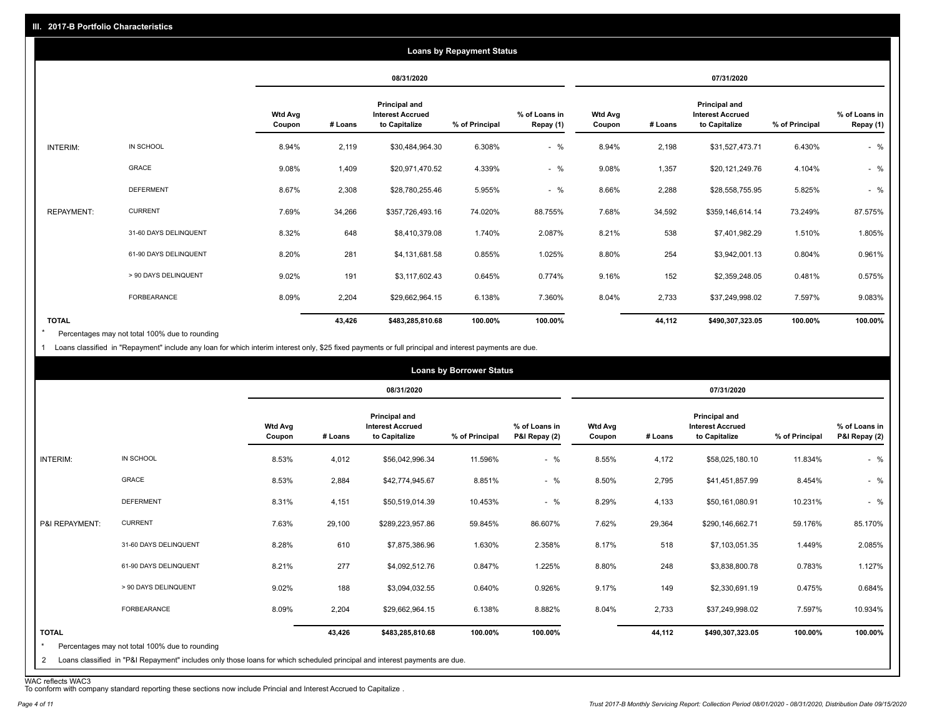|                   |                       |                          | <b>Loans by Repayment Status</b> |                                                                  |                |                            |                          |            |                                                           |                |                            |
|-------------------|-----------------------|--------------------------|----------------------------------|------------------------------------------------------------------|----------------|----------------------------|--------------------------|------------|-----------------------------------------------------------|----------------|----------------------------|
|                   |                       |                          |                                  | 08/31/2020                                                       |                |                            |                          | 07/31/2020 |                                                           |                |                            |
|                   |                       | <b>Wtd Avg</b><br>Coupon | # Loans                          | <b>Principal and</b><br><b>Interest Accrued</b><br>to Capitalize | % of Principal | % of Loans in<br>Repay (1) | <b>Wtd Avg</b><br>Coupon | # Loans    | Principal and<br><b>Interest Accrued</b><br>to Capitalize | % of Principal | % of Loans in<br>Repay (1) |
| INTERIM:          | IN SCHOOL             | 8.94%                    | 2,119                            | \$30,484,964.30                                                  | 6.308%         | $-$ %                      | 8.94%                    | 2,198      | \$31,527,473.71                                           | 6.430%         | $-$ %                      |
|                   | <b>GRACE</b>          | 9.08%                    | 1,409                            | \$20,971,470.52                                                  | 4.339%         | $-$ %                      | 9.08%                    | 1,357      | \$20,121,249.76                                           | 4.104%         | $-$ %                      |
|                   | <b>DEFERMENT</b>      | 8.67%                    | 2,308                            | \$28,780,255.46                                                  | 5.955%         | $-$ %                      | 8.66%                    | 2,288      | \$28,558,755.95                                           | 5.825%         | $-$ %                      |
| <b>REPAYMENT:</b> | <b>CURRENT</b>        | 7.69%                    | 34,266                           | \$357,726,493.16                                                 | 74.020%        | 88.755%                    | 7.68%                    | 34,592     | \$359,146,614.14                                          | 73.249%        | 87.575%                    |
|                   | 31-60 DAYS DELINQUENT | 8.32%                    | 648                              | \$8,410,379.08                                                   | 1.740%         | 2.087%                     | 8.21%                    | 538        | \$7,401,982.29                                            | 1.510%         | 1.805%                     |
|                   | 61-90 DAYS DELINQUENT | 8.20%                    | 281                              | \$4,131,681.58                                                   | 0.855%         | 1.025%                     | 8.80%                    | 254        | \$3,942,001.13                                            | 0.804%         | 0.961%                     |
|                   | > 90 DAYS DELINQUENT  | 9.02%                    | 191                              | \$3,117,602.43                                                   | 0.645%         | 0.774%                     | 9.16%                    | 152        | \$2,359,248.05                                            | 0.481%         | 0.575%                     |
|                   | FORBEARANCE           | 8.09%                    | 2,204                            | \$29,662,964.15                                                  | 6.138%         | 7.360%                     | 8.04%                    | 2,733      | \$37,249,998.02                                           | 7.597%         | 9.083%                     |
| <b>TOTAL</b>      |                       |                          | 43,426                           | \$483,285,810.68                                                 | 100.00%        | 100.00%                    |                          | 44,112     | \$490,307,323.05                                          | 100.00%        | 100.00%                    |

Percentages may not total 100% due to rounding \*

1 Loans classified in "Repayment" include any loan for which interim interest only, \$25 fixed payments or full principal and interest payments are due.

|                              |                                                                                                                                                                              |                          |         |                                                           | <b>Loans by Borrower Status</b> |                                |                          |         |                                                                  |                |                                |
|------------------------------|------------------------------------------------------------------------------------------------------------------------------------------------------------------------------|--------------------------|---------|-----------------------------------------------------------|---------------------------------|--------------------------------|--------------------------|---------|------------------------------------------------------------------|----------------|--------------------------------|
|                              |                                                                                                                                                                              |                          |         | 08/31/2020                                                |                                 |                                |                          |         | 07/31/2020                                                       |                |                                |
|                              |                                                                                                                                                                              | <b>Wtd Avg</b><br>Coupon | # Loans | Principal and<br><b>Interest Accrued</b><br>to Capitalize | % of Principal                  | % of Loans in<br>P&I Repay (2) | <b>Wtd Avg</b><br>Coupon | # Loans | <b>Principal and</b><br><b>Interest Accrued</b><br>to Capitalize | % of Principal | % of Loans in<br>P&I Repay (2) |
| INTERIM:                     | IN SCHOOL                                                                                                                                                                    | 8.53%                    | 4,012   | \$56,042,996.34                                           | 11.596%                         | $-$ %                          | 8.55%                    | 4,172   | \$58,025,180.10                                                  | 11.834%        | $-$ %                          |
|                              | GRACE                                                                                                                                                                        | 8.53%                    | 2,884   | \$42,774,945.67                                           | 8.851%                          | $-$ %                          | 8.50%                    | 2,795   | \$41,451,857.99                                                  | 8.454%         | $-$ %                          |
|                              | <b>DEFERMENT</b>                                                                                                                                                             | 8.31%                    | 4,151   | \$50,519,014.39                                           | 10.453%                         | $-$ %                          | 8.29%                    | 4,133   | \$50,161,080.91                                                  | 10.231%        | $-$ %                          |
| P&I REPAYMENT:               | <b>CURRENT</b>                                                                                                                                                               | 7.63%                    | 29,100  | \$289,223,957.86                                          | 59.845%                         | 86.607%                        | 7.62%                    | 29,364  | \$290,146,662.71                                                 | 59.176%        | 85.170%                        |
|                              | 31-60 DAYS DELINQUENT                                                                                                                                                        | 8.28%                    | 610     | \$7,875,386.96                                            | 1.630%                          | 2.358%                         | 8.17%                    | 518     | \$7,103,051.35                                                   | 1.449%         | 2.085%                         |
|                              | 61-90 DAYS DELINQUENT                                                                                                                                                        | 8.21%                    | 277     | \$4,092,512.76                                            | 0.847%                          | 1.225%                         | 8.80%                    | 248     | \$3,838,800.78                                                   | 0.783%         | 1.127%                         |
|                              | > 90 DAYS DELINQUENT                                                                                                                                                         | 9.02%                    | 188     | \$3,094,032.55                                            | 0.640%                          | 0.926%                         | 9.17%                    | 149     | \$2,330,691.19                                                   | 0.475%         | 0.684%                         |
|                              | <b>FORBEARANCE</b>                                                                                                                                                           | 8.09%                    | 2,204   | \$29,662,964.15                                           | 6.138%                          | 8.882%                         | 8.04%                    | 2,733   | \$37,249,998.02                                                  | 7.597%         | 10.934%                        |
| <b>TOTAL</b><br>$\star$<br>2 | Percentages may not total 100% due to rounding<br>Loans classified in "P&I Repayment" includes only those loans for which scheduled principal and interest payments are due. |                          | 43,426  | \$483,285,810.68                                          | 100.00%                         | 100.00%                        |                          | 44,112  | \$490,307,323.05                                                 | 100.00%        | 100.00%                        |

WAC reflects WAC3 To conform with company standard reporting these sections now include Princial and Interest Accrued to Capitalize .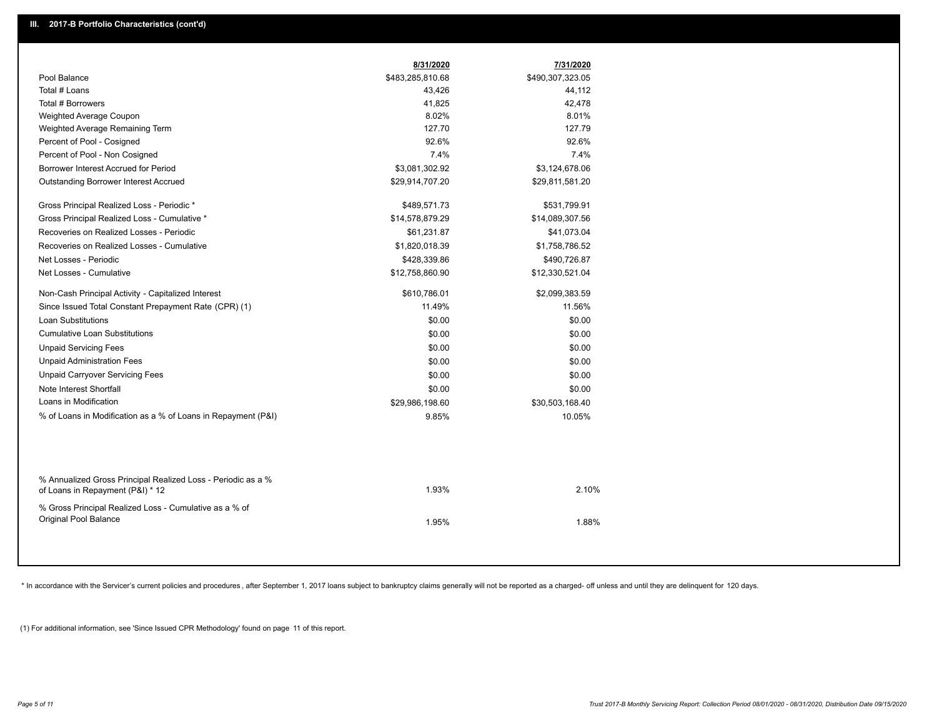|                                                               | 8/31/2020        | 7/31/2020        |  |
|---------------------------------------------------------------|------------------|------------------|--|
| Pool Balance                                                  | \$483,285,810.68 | \$490,307,323.05 |  |
| Total # Loans                                                 | 43,426           | 44,112           |  |
| Total # Borrowers                                             | 41,825           | 42,478           |  |
| Weighted Average Coupon                                       | 8.02%            | 8.01%            |  |
| Weighted Average Remaining Term                               | 127.70           | 127.79           |  |
| Percent of Pool - Cosigned                                    | 92.6%            | 92.6%            |  |
| Percent of Pool - Non Cosigned                                | 7.4%             | 7.4%             |  |
| Borrower Interest Accrued for Period                          | \$3,081,302.92   | \$3,124,678.06   |  |
| Outstanding Borrower Interest Accrued                         | \$29,914,707.20  | \$29,811,581.20  |  |
| Gross Principal Realized Loss - Periodic *                    | \$489,571.73     | \$531,799.91     |  |
| Gross Principal Realized Loss - Cumulative *                  | \$14,578,879.29  | \$14,089,307.56  |  |
| Recoveries on Realized Losses - Periodic                      | \$61,231.87      | \$41,073.04      |  |
| Recoveries on Realized Losses - Cumulative                    | \$1,820,018.39   | \$1,758,786.52   |  |
| Net Losses - Periodic                                         | \$428,339.86     | \$490,726.87     |  |
| Net Losses - Cumulative                                       | \$12,758,860.90  | \$12,330,521.04  |  |
| Non-Cash Principal Activity - Capitalized Interest            | \$610,786.01     | \$2,099,383.59   |  |
| Since Issued Total Constant Prepayment Rate (CPR) (1)         | 11.49%           | 11.56%           |  |
| <b>Loan Substitutions</b>                                     | \$0.00           | \$0.00           |  |
| <b>Cumulative Loan Substitutions</b>                          | \$0.00           | \$0.00           |  |
| <b>Unpaid Servicing Fees</b>                                  | \$0.00           | \$0.00           |  |
| <b>Unpaid Administration Fees</b>                             | \$0.00           | \$0.00           |  |
| <b>Unpaid Carryover Servicing Fees</b>                        | \$0.00           | \$0.00           |  |
| Note Interest Shortfall                                       | \$0.00           | \$0.00           |  |
| Loans in Modification                                         | \$29,986,198.60  | \$30,503,168.40  |  |
| % of Loans in Modification as a % of Loans in Repayment (P&I) | 9.85%            | 10.05%           |  |
|                                                               |                  |                  |  |
| % Annualized Gross Principal Realized Loss - Periodic as a %  |                  |                  |  |
| of Loans in Repayment (P&I) * 12                              | 1.93%            | 2.10%            |  |
| % Gross Principal Realized Loss - Cumulative as a % of        |                  |                  |  |
| Original Pool Balance                                         | 1.95%            | 1.88%            |  |
|                                                               |                  |                  |  |

\* In accordance with the Servicer's current policies and procedures, after September 1, 2017 loans subject to bankruptcy claims generally will not be reported as a charged- off unless and until they are delinquent for 120

(1) For additional information, see 'Since Issued CPR Methodology' found on page 11 of this report.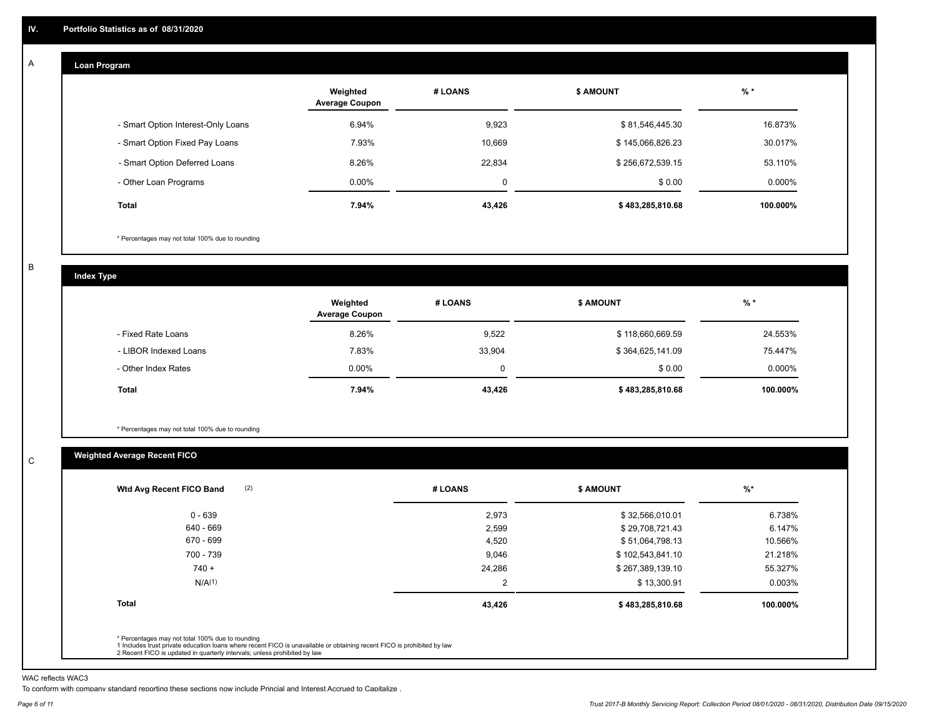#### **Loan Program**  A

|                                    | Weighted<br><b>Average Coupon</b> | # LOANS | <b>\$ AMOUNT</b> | $%$ *    |
|------------------------------------|-----------------------------------|---------|------------------|----------|
| - Smart Option Interest-Only Loans | 6.94%                             | 9,923   | \$81,546,445.30  | 16.873%  |
| - Smart Option Fixed Pay Loans     | 7.93%                             | 10,669  | \$145,066,826.23 | 30.017%  |
| - Smart Option Deferred Loans      | 8.26%                             | 22,834  | \$256,672,539.15 | 53.110%  |
| - Other Loan Programs              | $0.00\%$                          | 0       | \$0.00           | 0.000%   |
| <b>Total</b>                       | 7.94%                             | 43,426  | \$483,285,810.68 | 100.000% |

\* Percentages may not total 100% due to rounding

B

C

**Index Type**

|                       | Weighted<br><b>Average Coupon</b> | # LOANS | <b>S AMOUNT</b>  | $%$ *     |
|-----------------------|-----------------------------------|---------|------------------|-----------|
| - Fixed Rate Loans    | 8.26%                             | 9,522   | \$118,660,669.59 | 24.553%   |
| - LIBOR Indexed Loans | 7.83%                             | 33,904  | \$364,625,141.09 | 75.447%   |
| - Other Index Rates   | $0.00\%$                          | 0       | \$0.00           | $0.000\%$ |
| Total                 | 7.94%                             | 43,426  | \$483,285,810.68 | 100.000%  |

\* Percentages may not total 100% due to rounding

# **Weighted Average Recent FICO**

| 2,973<br>2,599<br>4,520 | \$32,566,010.01<br>\$29,708,721.43<br>\$51,064,798.13 | 6.738%<br>6.147% |
|-------------------------|-------------------------------------------------------|------------------|
|                         |                                                       |                  |
|                         |                                                       |                  |
|                         |                                                       | 10.566%          |
| 9,046                   | \$102,543,841.10                                      | 21.218%          |
| 24,286                  | \$267,389,139.10                                      | 55.327%          |
| $\overline{2}$          | \$13,300.91                                           | 0.003%           |
| 43,426                  | \$483,285,810.68                                      | 100.000%         |
|                         |                                                       |                  |

WAC reflects WAC3

To conform with company standard reporting these sections now include Princial and Interest Accrued to Capitalize .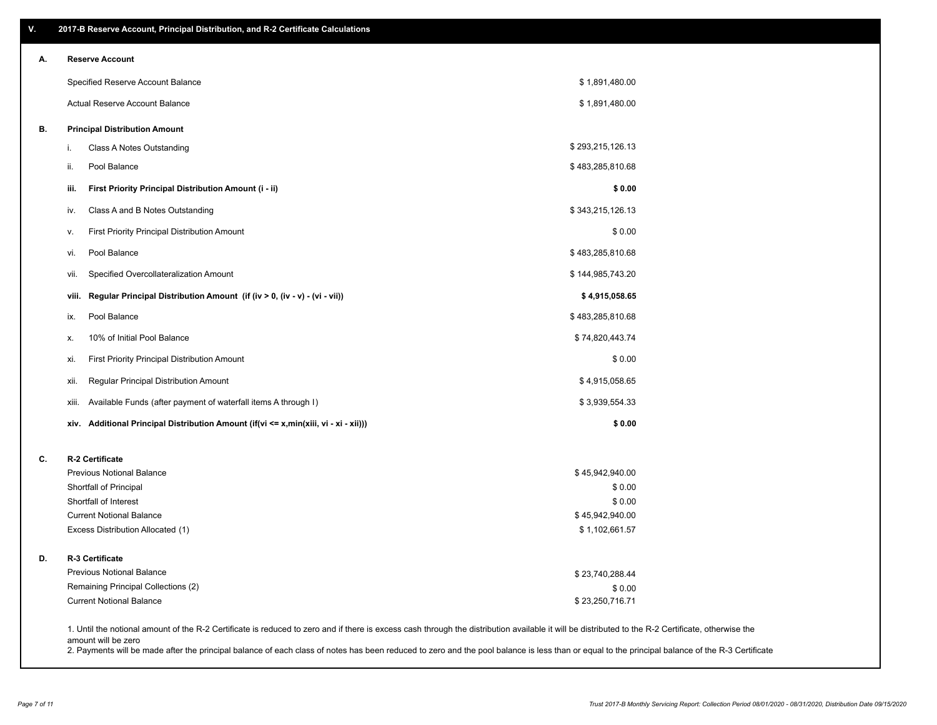| V. | 2017-B Reserve Account, Principal Distribution, and R-2 Certificate Calculations     |                                                                                                                                                                                                    |  |
|----|--------------------------------------------------------------------------------------|----------------------------------------------------------------------------------------------------------------------------------------------------------------------------------------------------|--|
| А. | <b>Reserve Account</b>                                                               |                                                                                                                                                                                                    |  |
|    | Specified Reserve Account Balance                                                    | \$1,891,480.00                                                                                                                                                                                     |  |
|    | Actual Reserve Account Balance                                                       | \$1,891,480.00                                                                                                                                                                                     |  |
| В. | <b>Principal Distribution Amount</b>                                                 |                                                                                                                                                                                                    |  |
|    | Class A Notes Outstanding<br>i.                                                      | \$293,215,126.13                                                                                                                                                                                   |  |
|    | Pool Balance<br>ii.                                                                  | \$483,285,810.68                                                                                                                                                                                   |  |
|    | First Priority Principal Distribution Amount (i - ii)<br>iii.                        | \$0.00                                                                                                                                                                                             |  |
|    | Class A and B Notes Outstanding<br>iv.                                               | \$343,215,126.13                                                                                                                                                                                   |  |
|    | First Priority Principal Distribution Amount<br>۷.                                   | \$0.00                                                                                                                                                                                             |  |
|    | Pool Balance<br>vi.                                                                  | \$483,285,810.68                                                                                                                                                                                   |  |
|    | Specified Overcollateralization Amount<br>vii.                                       | \$144,985,743.20                                                                                                                                                                                   |  |
|    | Regular Principal Distribution Amount (if (iv > 0, (iv - v) - (vi - vii))<br>viii.   | \$4,915,058.65                                                                                                                                                                                     |  |
|    | Pool Balance<br>ix.                                                                  | \$483,285,810.68                                                                                                                                                                                   |  |
|    | 10% of Initial Pool Balance<br>Х.                                                    | \$74,820,443.74                                                                                                                                                                                    |  |
|    | <b>First Priority Principal Distribution Amount</b><br>xi.                           | \$0.00                                                                                                                                                                                             |  |
|    | xii.<br>Regular Principal Distribution Amount                                        | \$4,915,058.65                                                                                                                                                                                     |  |
|    | Available Funds (after payment of waterfall items A through I)<br>xiii.              | \$3,939,554.33                                                                                                                                                                                     |  |
|    | xiv. Additional Principal Distribution Amount (if(vi <= x,min(xiii, vi - xi - xii))) | \$0.00                                                                                                                                                                                             |  |
| C. | R-2 Certificate                                                                      |                                                                                                                                                                                                    |  |
|    | <b>Previous Notional Balance</b>                                                     | \$45,942,940.00                                                                                                                                                                                    |  |
|    | Shortfall of Principal                                                               | \$0.00                                                                                                                                                                                             |  |
|    | Shortfall of Interest                                                                | \$0.00                                                                                                                                                                                             |  |
|    | <b>Current Notional Balance</b><br>Excess Distribution Allocated (1)                 | \$45,942,940.00<br>\$1,102,661.57                                                                                                                                                                  |  |
|    |                                                                                      |                                                                                                                                                                                                    |  |
| D. | R-3 Certificate                                                                      |                                                                                                                                                                                                    |  |
|    | <b>Previous Notional Balance</b>                                                     | \$23,740,288.44                                                                                                                                                                                    |  |
|    | Remaining Principal Collections (2)                                                  | \$0.00                                                                                                                                                                                             |  |
|    | <b>Current Notional Balance</b>                                                      | \$23,250,716.71                                                                                                                                                                                    |  |
|    |                                                                                      | 1. Until the notional amount of the R-2 Certificate is reduced to zero and if there is excess cash through the distribution available it will be distributed to the R-2 Certificate, otherwise the |  |

amount will be zero

2. Payments will be made after the principal balance of each class of notes has been reduced to zero and the pool balance is less than or equal to the principal balance of the R-3 Certificate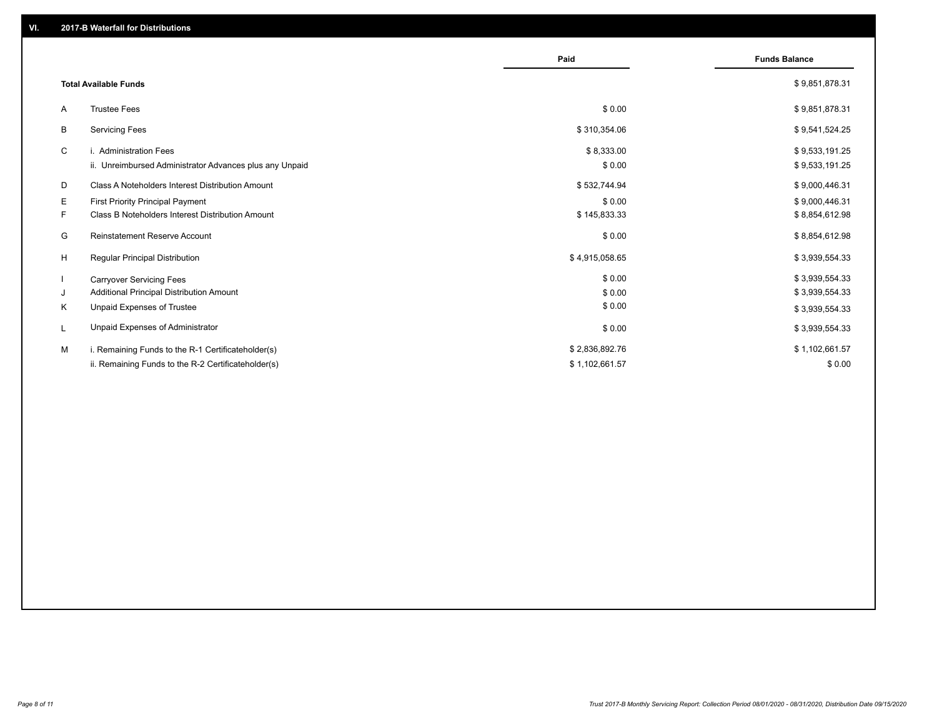|    |                                                         | Paid           | <b>Funds Balance</b> |
|----|---------------------------------------------------------|----------------|----------------------|
|    | <b>Total Available Funds</b>                            |                | \$9,851,878.31       |
| A  | <b>Trustee Fees</b>                                     | \$0.00         | \$9,851,878.31       |
| B  | <b>Servicing Fees</b>                                   | \$310,354.06   | \$9,541,524.25       |
| C  | i. Administration Fees                                  | \$8,333.00     | \$9,533,191.25       |
|    | ii. Unreimbursed Administrator Advances plus any Unpaid | \$0.00         | \$9,533,191.25       |
| D  | Class A Noteholders Interest Distribution Amount        | \$532,744.94   | \$9,000,446.31       |
| E. | First Priority Principal Payment                        | \$0.00         | \$9,000,446.31       |
| F. | <b>Class B Noteholders Interest Distribution Amount</b> | \$145,833.33   | \$8,854,612.98       |
| G  | <b>Reinstatement Reserve Account</b>                    | \$0.00         | \$8,854,612.98       |
| H  | Regular Principal Distribution                          | \$4,915,058.65 | \$3,939,554.33       |
|    | <b>Carryover Servicing Fees</b>                         | \$0.00         | \$3,939,554.33       |
| J  | Additional Principal Distribution Amount                | \$0.00         | \$3,939,554.33       |
| Κ  | Unpaid Expenses of Trustee                              | \$0.00         | \$3,939,554.33       |
| L  | Unpaid Expenses of Administrator                        | \$0.00         | \$3,939,554.33       |
| м  | i. Remaining Funds to the R-1 Certificateholder(s)      | \$2,836,892.76 | \$1,102,661.57       |
|    | ii. Remaining Funds to the R-2 Certificateholder(s)     | \$1,102,661.57 | \$0.00               |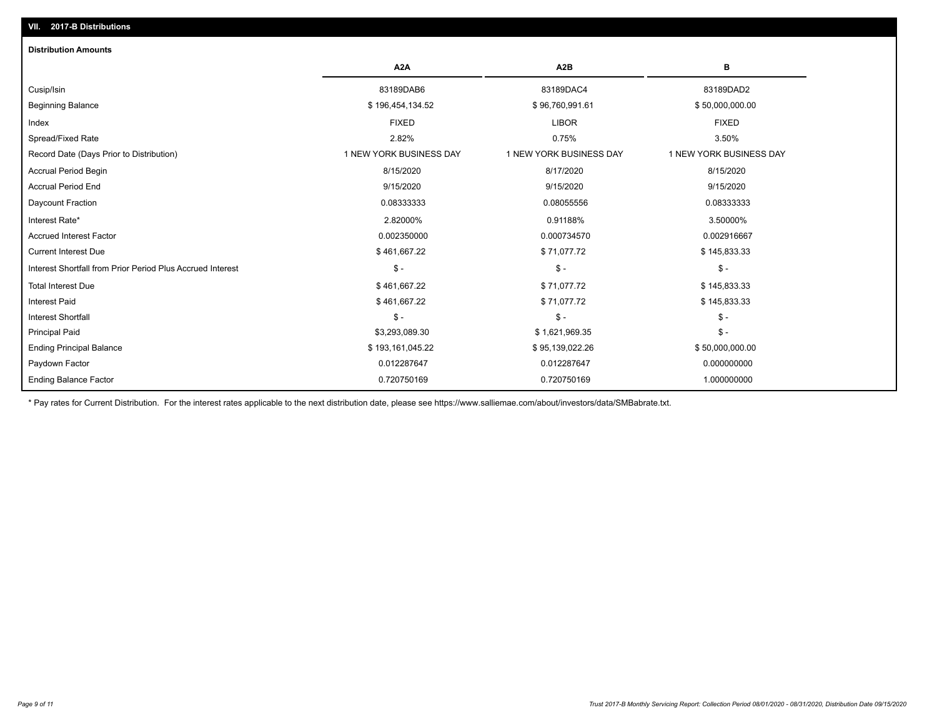| <b>Distribution Amounts</b>                                |                         |                         |                         |
|------------------------------------------------------------|-------------------------|-------------------------|-------------------------|
|                                                            | A <sub>2</sub> A        | A <sub>2</sub> B        | в                       |
| Cusip/Isin                                                 | 83189DAB6               | 83189DAC4               | 83189DAD2               |
| <b>Beginning Balance</b>                                   | \$196,454,134.52        | \$96,760,991.61         | \$50,000,000.00         |
| Index                                                      | <b>FIXED</b>            | <b>LIBOR</b>            | <b>FIXED</b>            |
| Spread/Fixed Rate                                          | 2.82%                   | 0.75%                   | 3.50%                   |
| Record Date (Days Prior to Distribution)                   | 1 NEW YORK BUSINESS DAY | 1 NEW YORK BUSINESS DAY | 1 NEW YORK BUSINESS DAY |
| <b>Accrual Period Begin</b>                                | 8/15/2020               | 8/17/2020               | 8/15/2020               |
| <b>Accrual Period End</b>                                  | 9/15/2020               | 9/15/2020               | 9/15/2020               |
| Daycount Fraction                                          | 0.08333333              | 0.08055556              | 0.08333333              |
| Interest Rate*                                             | 2.82000%                | 0.91188%                | 3.50000%                |
| <b>Accrued Interest Factor</b>                             | 0.002350000             | 0.000734570             | 0.002916667             |
| <b>Current Interest Due</b>                                | \$461,667.22            | \$71,077.72             | \$145,833.33            |
| Interest Shortfall from Prior Period Plus Accrued Interest | $\frac{1}{2}$           | $\mathsf{\$}$ -         | $$ -$                   |
| <b>Total Interest Due</b>                                  | \$461,667.22            | \$71,077.72             | \$145,833.33            |
| <b>Interest Paid</b>                                       | \$461,667.22            | \$71,077.72             | \$145,833.33            |
| <b>Interest Shortfall</b>                                  | $\frac{1}{2}$           | $\mathsf{\$}$ -         | $$ -$                   |
| <b>Principal Paid</b>                                      | \$3,293,089.30          | \$1,621,969.35          | $$ -$                   |
| <b>Ending Principal Balance</b>                            | \$193,161,045.22        | \$95,139,022.26         | \$50,000,000.00         |
| Paydown Factor                                             | 0.012287647             | 0.012287647             | 0.000000000             |
| <b>Ending Balance Factor</b>                               | 0.720750169             | 0.720750169             | 1.000000000             |

\* Pay rates for Current Distribution. For the interest rates applicable to the next distribution date, please see https://www.salliemae.com/about/investors/data/SMBabrate.txt.

**VII. 2017-B Distributions**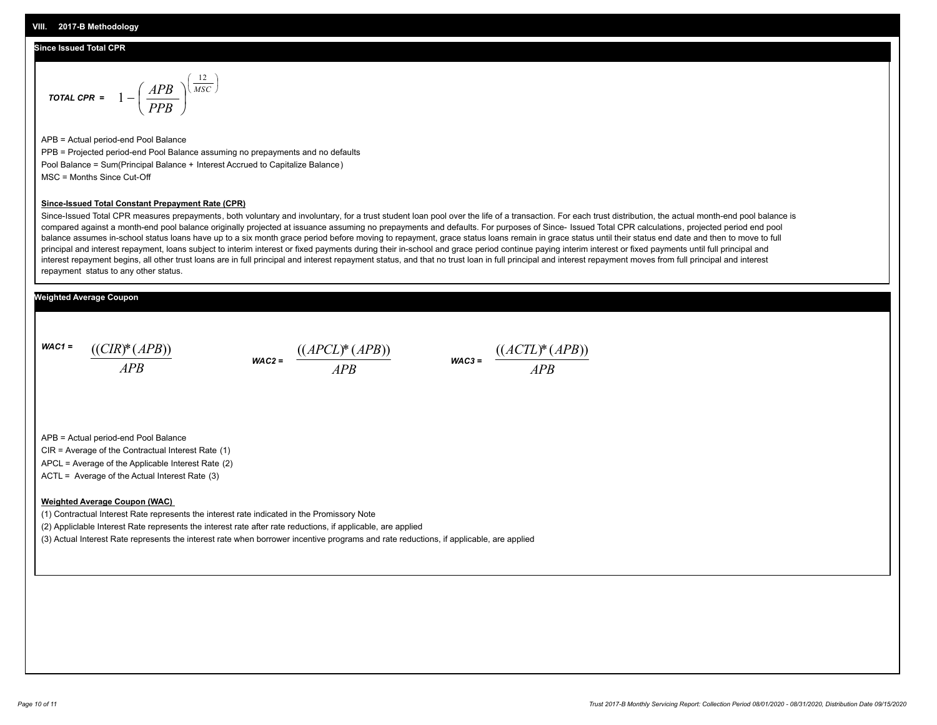#### **Since Issued Total CPR**

$$
\text{total CPR} = 1 - \left(\frac{APB}{PPB}\right)^{\left(\frac{12}{MSC}\right)}
$$

APB = Actual period-end Pool Balance PPB = Projected period-end Pool Balance assuming no prepayments and no defaults Pool Balance = Sum(Principal Balance + Interest Accrued to Capitalize Balance) MSC = Months Since Cut-Off

#### **Since-Issued Total Constant Prepayment Rate (CPR)**

Since-Issued Total CPR measures prepayments, both voluntary and involuntary, for a trust student loan pool over the life of a transaction. For each trust distribution, the actual month-end pool balance is compared against a month-end pool balance originally projected at issuance assuming no prepayments and defaults. For purposes of Since- Issued Total CPR calculations, projected period end pool balance assumes in-school status loans have up to a six month grace period before moving to repayment, grace status loans remain in grace status until their status end date and then to move to full principal and interest repayment, loans subject to interim interest or fixed payments during their in-school and grace period continue paying interim interest or fixed payments until full principal and interest repayment begins, all other trust loans are in full principal and interest repayment status, and that no trust loan in full principal and interest repayment moves from full principal and interest repayment status to any other status.

### **Weighted Average Coupon**

*WAC1 = APB* ((*CIR*)\*(*APB*))





APB = Actual period-end Pool Balance

CIR = Average of the Contractual Interest Rate (1)

APCL = Average of the Applicable Interest Rate (2)

ACTL = Average of the Actual Interest Rate (3)

#### **Weighted Average Coupon (WAC)**

(1) Contractual Interest Rate represents the interest rate indicated in the Promissory Note

(2) Appliclable Interest Rate represents the interest rate after rate reductions, if applicable, are applied

(3) Actual Interest Rate represents the interest rate when borrower incentive programs and rate reductions, if applicable, are applied